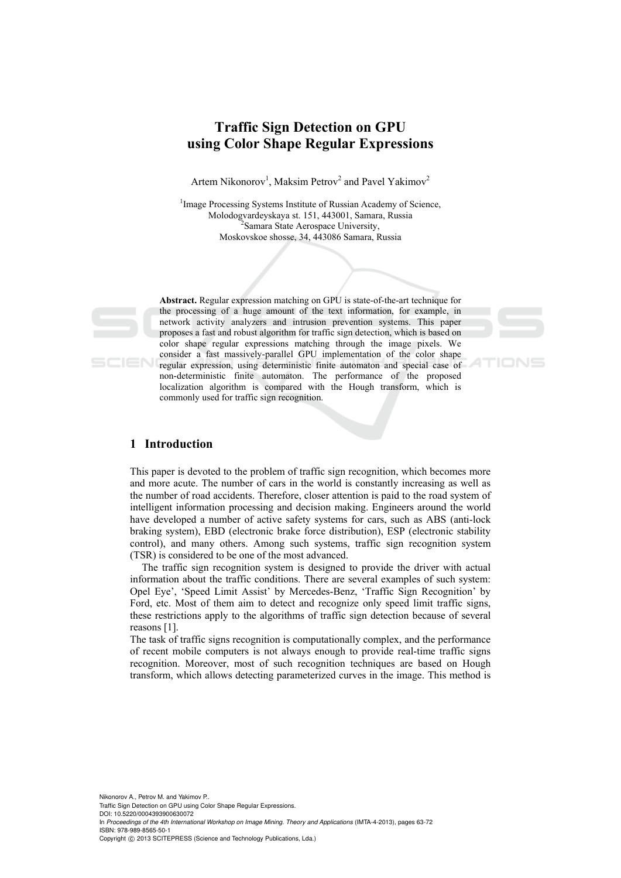# **Traffic Sign Detection on GPU using Color Shape Regular Expressions**

Artem Nikonorov<sup>1</sup>, Maksim Petrov<sup>2</sup> and Pavel Yakimov<sup>2</sup>

<sup>1</sup>Image Processing Systems Institute of Russian Academy of Science, Molodogvardeyskaya st. 151, 443001, Samara, Russia 2 <sup>2</sup> Samara State Aerospace University, Moskovskoe shosse, 34, 443086 Samara, Russia

**Abstract.** Regular expression matching on GPU is state-of-the-art technique for the processing of a huge amount of the text information, for example, in network activity analyzers and intrusion prevention systems. This paper proposes a fast and robust algorithm for traffic sign detection, which is based on color shape regular expressions matching through the image pixels. We consider a fast massively-parallel GPU implementation of the color shape regular expression, using deterministic finite automaton and special case of non-deterministic finite automaton. The performance of the proposed localization algorithm is compared with the Hough transform, which is commonly used for traffic sign recognition.

#### **1 Introduction**

This paper is devoted to the problem of traffic sign recognition, which becomes more and more acute. The number of cars in the world is constantly increasing as well as the number of road accidents. Therefore, closer attention is paid to the road system of intelligent information processing and decision making. Engineers around the world have developed a number of active safety systems for cars, such as ABS (anti-lock braking system), EBD (electronic brake force distribution), ESP (electronic stability control), and many others. Among such systems, traffic sign recognition system (TSR) is considered to be one of the most advanced.

The traffic sign recognition system is designed to provide the driver with actual information about the traffic conditions. There are several examples of such system: Opel Eye', 'Speed Limit Assist' by Mercedes-Benz, 'Traffic Sign Recognition' by Ford, etc. Most of them aim to detect and recognize only speed limit traffic signs, these restrictions apply to the algorithms of traffic sign detection because of several reasons [1].

The task of traffic signs recognition is computationally complex, and the performance of recent mobile computers is not always enough to provide real-time traffic signs recognition. Moreover, most of such recognition techniques are based on Hough transform, which allows detecting parameterized curves in the image. This method is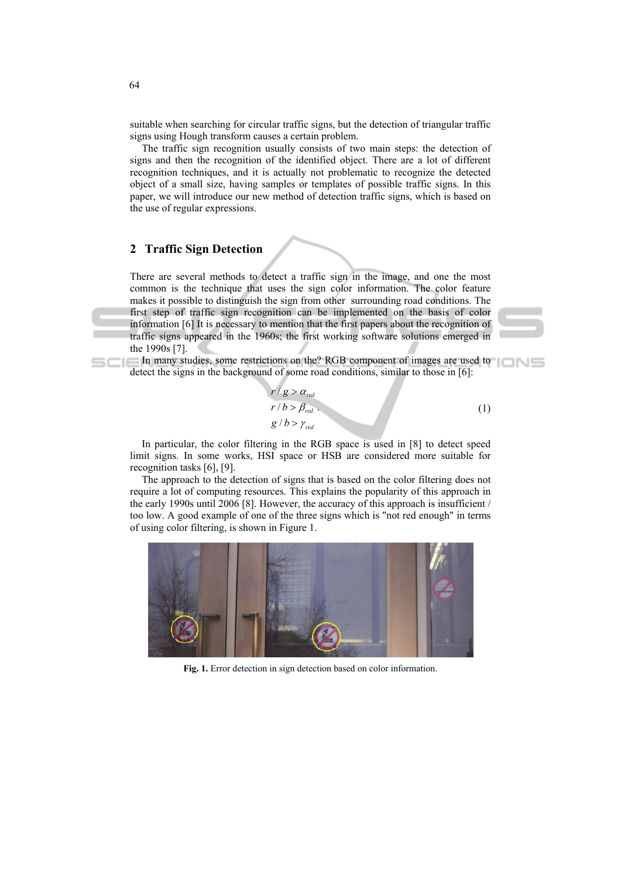suitable when searching for circular traffic signs, but the detection of triangular traffic signs using Hough transform causes a certain problem.

The traffic sign recognition usually consists of two main steps: the detection of signs and then the recognition of the identified object. There are a lot of different recognition techniques, and it is actually not problematic to recognize the detected object of a small size, having samples or templates of possible traffic signs. In this paper, we will introduce our new method of detection traffic signs, which is based on the use of regular expressions.

## **2 Traffic Sign Detection**

There are several methods to detect a traffic sign in the image, and one the most common is the technique that uses the sign color information. The color feature makes it possible to distinguish the sign from other surrounding road conditions. The first step of traffic sign recognition can be implemented on the basis of color information [6] It is necessary to mention that the first papers about the recognition of traffic signs appeared in the 1960s; the first working software solutions emerged in the 1990s [7].

In many studies, some restrictions on the? RGB component of images are used to detect the signs in the background of some road conditions, similar to those in [6]:

$$
r/g > \alpha_{red}
$$
  
\n
$$
r/b > \beta_{red}
$$
  
\n
$$
g/b > \gamma_{red}
$$
\n(1)

In particular, the color filtering in the RGB space is used in [8] to detect speed limit signs. In some works, HSI space or HSB are considered more suitable for recognition tasks [6], [9].

The approach to the detection of signs that is based on the color filtering does not require a lot of computing resources. This explains the popularity of this approach in the early 1990s until 2006 [8]. However, the accuracy of this approach is insufficient / too low. A good example of one of the three signs which is "not red enough" in terms of using color filtering, is shown in Figure 1.



**Fig. 1.** Error detection in sign detection based on color information.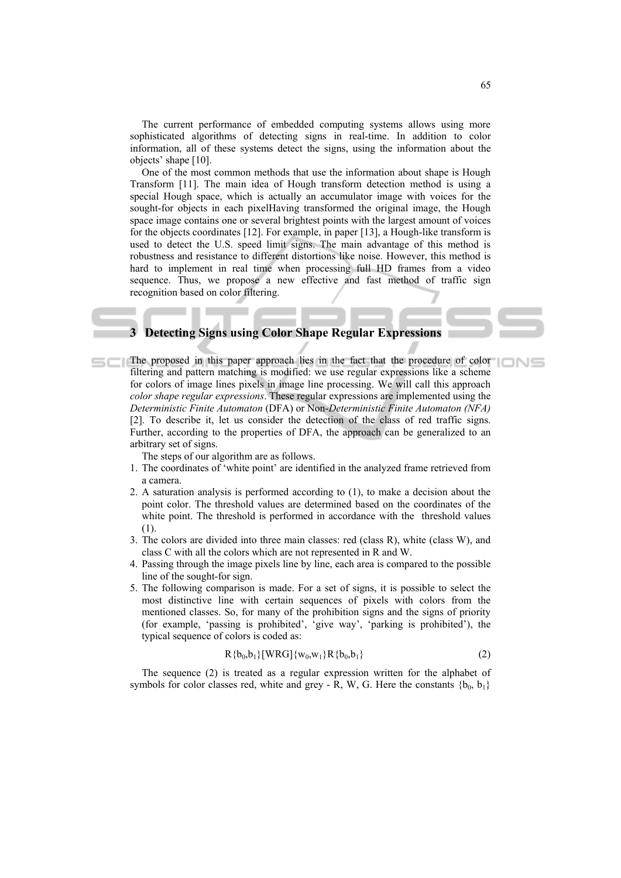The current performance of embedded computing systems allows using more sophisticated algorithms of detecting signs in real-time. In addition to color information, all of these systems detect the signs, using the information about the objects' shape [10].

One of the most common methods that use the information about shape is Hough Transform [11]. The main idea of Hough transform detection method is using a special Hough space, which is actually an accumulator image with voices for the sought-for objects in each pixelHaving transformed the original image, the Hough space image contains one or several brightest points with the largest amount of voices for the objects coordinates [12]. For example, in paper [13], a Hough-like transform is used to detect the U.S. speed limit signs. The main advantage of this method is robustness and resistance to different distortions like noise. However, this method is hard to implement in real time when processing full HD frames from a video sequence. Thus, we propose a new effective and fast method of traffic sign recognition based on color filtering.

## **3 Detecting Signs using Color Shape Regular Expressions**

The proposed in this paper approach lies in the fact that the procedure of color filtering and pattern matching is modified: we use regular expressions like a scheme for colors of image lines pixels in image line processing. We will call this approach *color shape regular expressions*. These regular expressions are implemented using the *Deterministic Finite Automaton* (DFA) or Non-*Deterministic Finite Automaton (NFA)*  [2]. To describe it, let us consider the detection of the class of red traffic signs. Further, according to the properties of DFA, the approach can be generalized to an arbitrary set of signs.

The steps of our algorithm are as follows.

- 1. The coordinates of 'white point' are identified in the analyzed frame retrieved from a camera.
- 2. A saturation analysis is performed according to (1), to make a decision about the point color. The threshold values are determined based on the coordinates of the white point. The threshold is performed in accordance with the threshold values (1).
- 3. The colors are divided into three main classes: red (class R), white (class W), and class C with all the colors which are not represented in R and W.
- 4. Passing through the image pixels line by line, each area is compared to the possible line of the sought-for sign.
- 5. The following comparison is made. For a set of signs, it is possible to select the most distinctive line with certain sequences of pixels with colors from the mentioned classes. So, for many of the prohibition signs and the signs of priority (for example, 'passing is prohibited', 'give way', 'parking is prohibited'), the typical sequence of colors is coded as:

$$
R\{b_0, b_1\} [WRG]\{w_0, w_1\} R\{b_0, b_1\}
$$
 (2)

The sequence (2) is treated as a regular expression written for the alphabet of symbols for color classes red, white and grey - R, W, G. Here the constants  $\{b_0, b_1\}$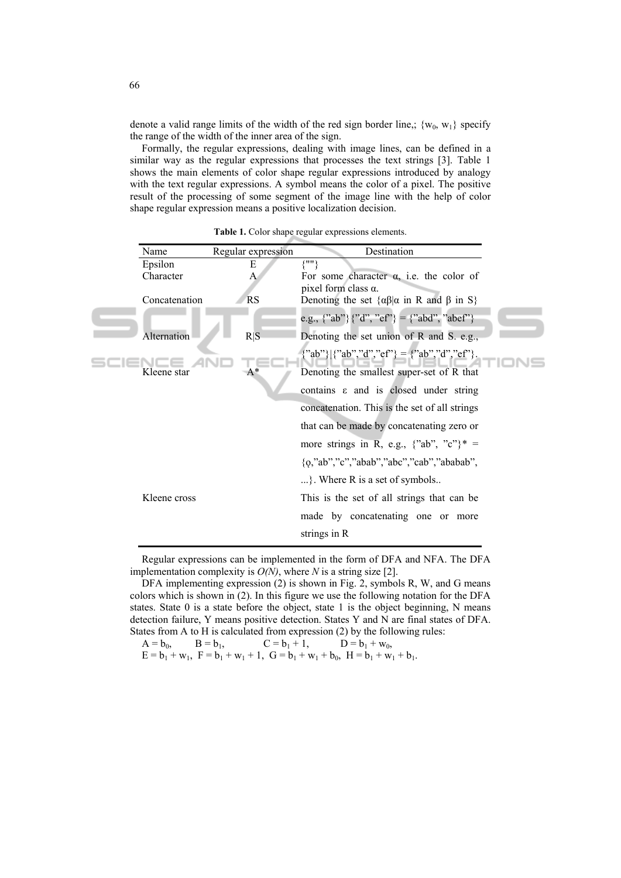denote a valid range limits of the width of the red sign border line,;  $\{w_0, w_1\}$  specify the range of the width of the inner area of the sign.

Formally, the regular expressions, dealing with image lines, can be defined in a similar way as the regular expressions that processes the text strings [3]. Table 1 shows the main elements of color shape regular expressions introduced by analogy with the text regular expressions. A symbol means the color of a pixel. The positive result of the processing of some segment of the image line with the help of color shape regular expression means a positive localization decision.

| Name        |               | Regular expression | Destination                                                                                |
|-------------|---------------|--------------------|--------------------------------------------------------------------------------------------|
| Epsilon     |               | E                  | $\{''''\}$                                                                                 |
| Character   |               | A                  | For some character $\alpha$ , i.e. the color of                                            |
|             |               |                    | pixel form class $\alpha$ .                                                                |
|             | Concatenation | <b>RS</b>          | Denoting the set $\{\alpha\beta   \alpha \text{ in } R \text{ and } \beta \text{ in } S\}$ |
|             |               |                    | e.g., {"ab"} {"d", "ef"} = {"abd", "abef"}                                                 |
|             | Alternation   | R S                | Denoting the set union of R and S. e.g.,                                                   |
|             |               |                    | {"ab"} {"ab","d","ef"} = {"ab","d","ef"}                                                   |
| Kleene star |               | $A^*$              | Denoting the smallest super-set of R that                                                  |
|             |               |                    | contains $\varepsilon$ and is closed under string                                          |
|             |               |                    | concatenation. This is the set of all strings                                              |
|             |               |                    | that can be made by concatenating zero or                                                  |
|             |               |                    | more strings in R, e.g., $\{$ "ab", "c" $\}$ * =                                           |
|             |               |                    | {o,"ab","c","abab","abc","cab","ababab",                                                   |
|             |               |                    | }. Where R is a set of symbols                                                             |
|             | Kleene cross  |                    | This is the set of all strings that can be                                                 |
|             |               |                    | made by concatenating one or more                                                          |
|             |               |                    | strings in R                                                                               |

**Table 1.** Color shape regular expressions elements.

Regular expressions can be implemented in the form of DFA and NFA. The DFA implementation complexity is *O(N)*, where *N* is a string size [2].

DFA implementing expression (2) is shown in Fig. 2, symbols R, W, and G means colors which is shown in (2). In this figure we use the following notation for the DFA states. State  $0$  is a state before the object, state 1 is the object beginning, N means detection failure, Y means positive detection. States Y and N are final states of DFA. States from A to H is calculated from expression (2) by the following rules:

 $A = b_0,$   $B = b_1,$   $C = b_1 + 1,$   $D = b_1 + w_0,$  $E = b_1 + w_1$ ,  $F = b_1 + w_1 + 1$ ,  $G = b_1 + w_1 + b_0$ ,  $H = b_1 + w_1 + b_1$ .

66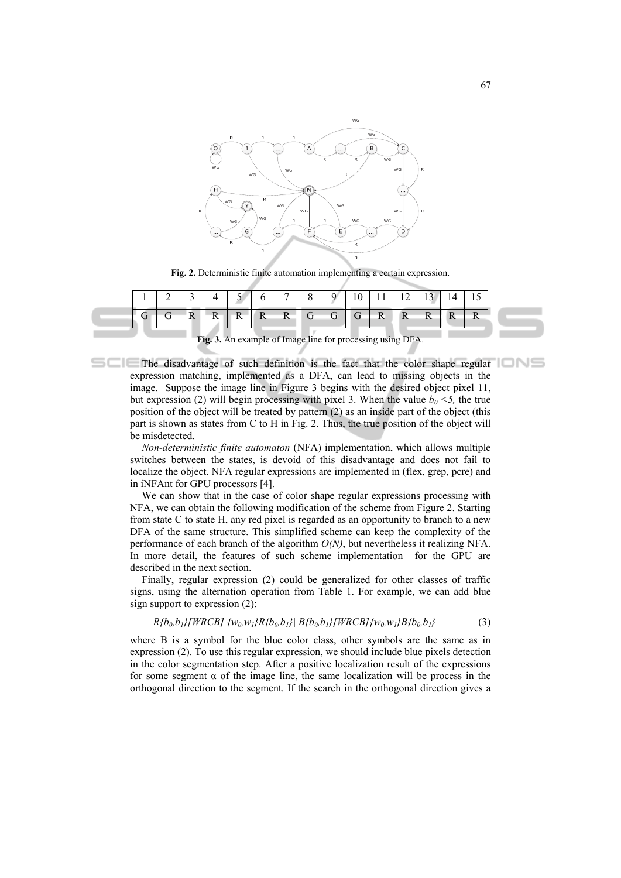

**Fig. 2.** Deterministic finite automation implementing a certain expression.

| $G   G   R   R   R   R   R   R   G   G   G   R   R   R   R   R$ |  |  | 2   3   4   5   6   7   8   9   10   11   12   13   14   15 |  |  |  |  |  |
|-----------------------------------------------------------------|--|--|-------------------------------------------------------------|--|--|--|--|--|
|                                                                 |  |  |                                                             |  |  |  |  |  |

**Fig. 3.** An example of Image line for processing using DFA.

The disadvantage of such definition is the fact that the color shape regular expression matching, implemented as a DFA, can lead to missing objects in the image. Suppose the image line in Figure 3 begins with the desired object pixel 11, but expression (2) will begin processing with pixel 3. When the value  $b_0 < 5$ , the true position of the object will be treated by pattern (2) as an inside part of the object (this part is shown as states from C to H in Fig. 2. Thus, the true position of the object will be misdetected.

*Non-deterministic finite automaton* (NFA) implementation, which allows multiple switches between the states, is devoid of this disadvantage and does not fail to localize the object. NFA regular expressions are implemented in (flex, grep, pcre) and in iNFAnt for GPU processors [4].

We can show that in the case of color shape regular expressions processing with NFA, we can obtain the following modification of the scheme from Figure 2. Starting from state C to state H, any red pixel is regarded as an opportunity to branch to a new DFA of the same structure. This simplified scheme can keep the complexity of the performance of each branch of the algorithm *O(N)*, but nevertheless it realizing NFA. In more detail, the features of such scheme implementation for the GPU are described in the next section.

Finally, regular expression (2) could be generalized for other classes of traffic signs, using the alternation operation from Table 1. For example, we can add blue sign support to expression (2):

$$
R{b_0, b_1}\{WRCB\} {w_0, w_1}R{b_0, b_1}\left| B{b_0, b_1}\right| WRCB]{w_0, w_1}B{b_0, b_1}
$$
 (3)

where B is a symbol for the blue color class, other symbols are the same as in expression (2). To use this regular expression, we should include blue pixels detection in the color segmentation step. After a positive localization result of the expressions for some segment  $\alpha$  of the image line, the same localization will be process in the orthogonal direction to the segment. If the search in the orthogonal direction gives a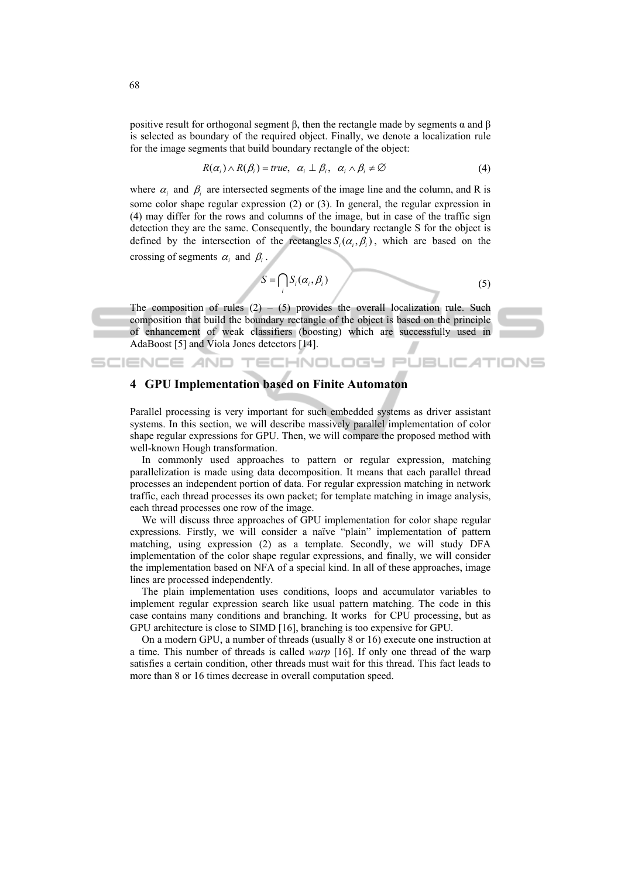positive result for orthogonal segment β, then the rectangle made by segments  $α$  and  $β$ is selected as boundary of the required object. Finally, we denote a localization rule for the image segments that build boundary rectangle of the object:

$$
R(\alpha_i) \wedge R(\beta_i) = true, \ \alpha_i \perp \beta_i, \ \alpha_i \wedge \beta_i \neq \varnothing \tag{4}
$$

where  $\alpha_i$  and  $\beta_i$  are intersected segments of the image line and the column, and R is some color shape regular expression (2) or (3). In general, the regular expression in (4) may differ for the rows and columns of the image, but in case of the traffic sign detection they are the same. Consequently, the boundary rectangle S for the object is defined by the intersection of the rectangles  $S_i(\alpha_i, \beta_i)$ , which are based on the crossing of segments  $\alpha_i$  and  $\beta_i$ .

$$
S = \bigcap_i S_i(\alpha_i, \beta_i) \tag{5}
$$

The composition of rules  $(2) - (5)$  provides the overall localization rule. Such composition that build the boundary rectangle of the object is based on the principle of enhancement of weak classifiers (boosting) which are successfully used in AdaBoost [5] and Viola Jones detectors [14].

### **4 GPU Implementation based on Finite Automaton**

SCIENCE AND TECHNOLOGY

Parallel processing is very important for such embedded systems as driver assistant systems. In this section, we will describe massively parallel implementation of color shape regular expressions for GPU. Then, we will compare the proposed method with well-known Hough transformation.

In commonly used approaches to pattern or regular expression, matching parallelization is made using data decomposition. It means that each parallel thread processes an independent portion of data. For regular expression matching in network traffic, each thread processes its own packet; for template matching in image analysis, each thread processes one row of the image.

We will discuss three approaches of GPU implementation for color shape regular expressions. Firstly, we will consider a naïve "plain" implementation of pattern matching, using expression (2) as a template. Secondly, we will study DFA implementation of the color shape regular expressions, and finally, we will consider the implementation based on NFA of a special kind. In all of these approaches, image lines are processed independently.

The plain implementation uses conditions, loops and accumulator variables to implement regular expression search like usual pattern matching. The code in this case contains many conditions and branching. It works for CPU processing, but as GPU architecture is close to SIMD [16], branching is too expensive for GPU.

On a modern GPU, a number of threads (usually 8 or 16) execute one instruction at a time. This number of threads is called *warp* [16]. If only one thread of the warp satisfies a certain condition, other threads must wait for this thread. This fact leads to more than 8 or 16 times decrease in overall computation speed.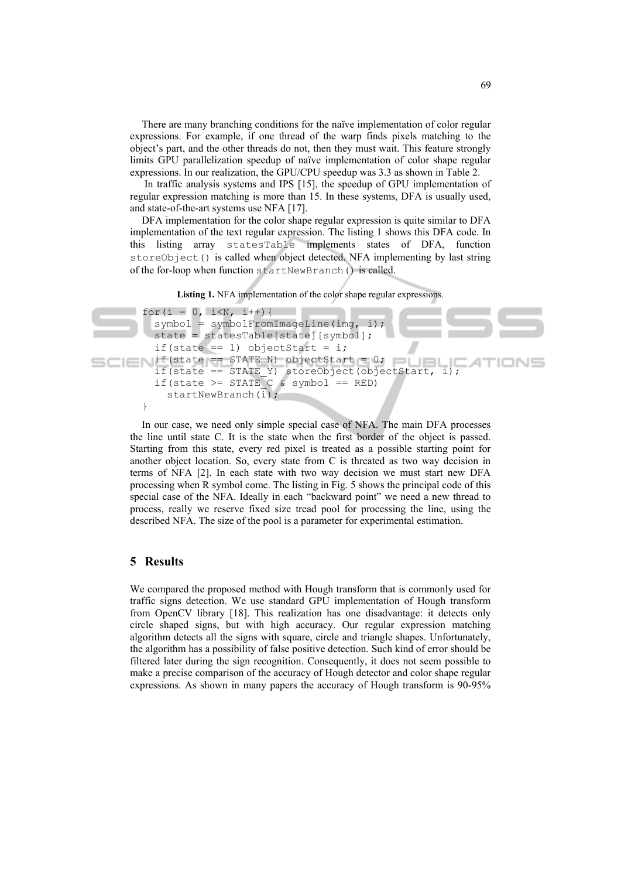There are many branching conditions for the naïve implementation of color regular expressions. For example, if one thread of the warp finds pixels matching to the object's part, and the other threads do not, then they must wait. This feature strongly limits GPU parallelization speedup of naïve implementation of color shape regular expressions. In our realization, the GPU/CPU speedup was 3.3 as shown in Table 2.

 In traffic analysis systems and IPS [15], the speedup of GPU implementation of regular expression matching is more than 15. In these systems, DFA is usually used, and state-of-the-art systems use NFA [17].

DFA implementation for the color shape regular expression is quite similar to DFA implementation of the text regular expression. The listing 1 shows this DFA code. In this listing array statesTable implements states of DFA, function storeObject() is called when object detected. NFA implementing by last string of the for-loop when function startNewBranch() is called.

**Listing 1.** NFA implementation of the color shape regular expressions.

```
for(i = 0, i<N, i++){
           symbol = symbolFromImageLine(img, i);
            state = statesTable[state][symbol]; 
           if(state == 1) objectStart = i;
\blacksquare if(state == STATE_N) objectStart = 0;
           if(state == STATE_N) objectStart = 0;<br>if(state == STATE_Y) storeObject(objectStart, i);
                                                                          IONS
           if(state >= STATE C & symbol == RED)
             startNewBranch(i);
         }
```
In our case, we need only simple special case of NFA. The main DFA processes the line until state C. It is the state when the first border of the object is passed. Starting from this state, every red pixel is treated as a possible starting point for another object location. So, every state from C is threated as two way decision in terms of NFA [2]. In each state with two way decision we must start new DFA processing when R symbol come. The listing in Fig. 5 shows the principal code of this special case of the NFA. Ideally in each "backward point" we need a new thread to process, really we reserve fixed size tread pool for processing the line, using the described NFA. The size of the pool is a parameter for experimental estimation.

#### **5 Results**

We compared the proposed method with Hough transform that is commonly used for traffic signs detection. We use standard GPU implementation of Hough transform from OpenCV library [18]. This realization has one disadvantage: it detects only circle shaped signs, but with high accuracy. Our regular expression matching algorithm detects all the signs with square, circle and triangle shapes. Unfortunately, the algorithm has a possibility of false positive detection. Such kind of error should be filtered later during the sign recognition. Consequently, it does not seem possible to make a precise comparison of the accuracy of Hough detector and color shape regular expressions. As shown in many papers the accuracy of Hough transform is 90-95%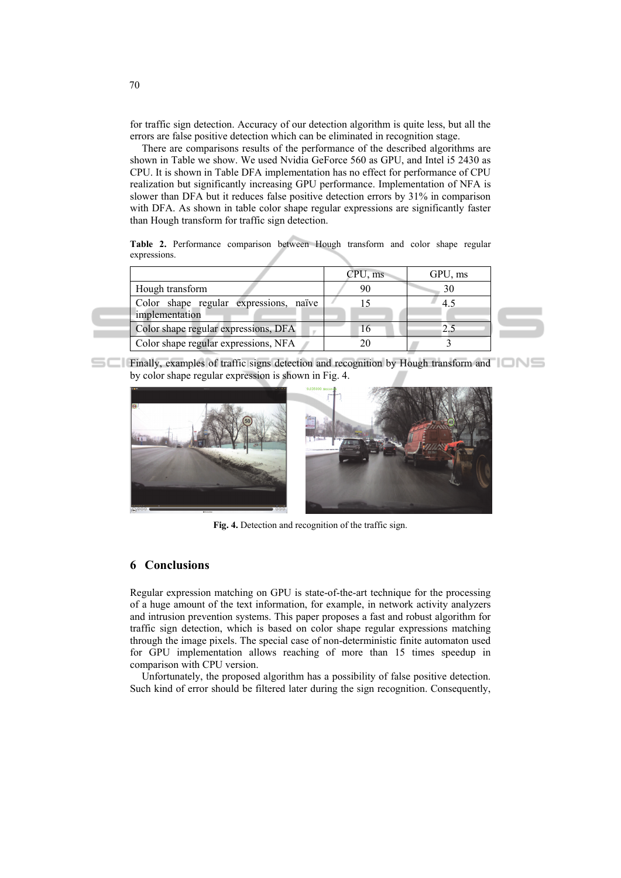for traffic sign detection. Accuracy of our detection algorithm is quite less, but all the errors are false positive detection which can be eliminated in recognition stage.

There are comparisons results of the performance of the described algorithms are shown in Table we show. We used Nvidia GeForce 560 as GPU, and Intel i5 2430 as CPU. It is shown in Table DFA implementation has no effect for performance of CPU realization but significantly increasing GPU performance. Implementation of NFA is slower than DFA but it reduces false positive detection errors by 31% in comparison with DFA. As shown in table color shape regular expressions are significantly faster than Hough transform for traffic sign detection.

**Table 2.** Performance comparison between Hough transform and color shape regular expressions.

|                                                          | CPU, ms | GPU, ms |  |
|----------------------------------------------------------|---------|---------|--|
| Hough transform                                          | 90      | 30      |  |
| Color shape regular expressions, naïve<br>implementation |         | 4.5     |  |
| Color shape regular expressions, DFA                     | 16      |         |  |
| Color shape regular expressions, NFA                     |         |         |  |

**Finally, examples of traffic signs detection and recognition by Hough transform and THUS** by color shape regular expression is shown in Fig. 4.



**Fig. 4.** Detection and recognition of the traffic sign.

### **6 Conclusions**

Regular expression matching on GPU is state-of-the-art technique for the processing of a huge amount of the text information, for example, in network activity analyzers and intrusion prevention systems. This paper proposes a fast and robust algorithm for traffic sign detection, which is based on color shape regular expressions matching through the image pixels. The special case of non-deterministic finite automaton used for GPU implementation allows reaching of more than 15 times speedup in comparison with CPU version.

Unfortunately, the proposed algorithm has a possibility of false positive detection. Such kind of error should be filtered later during the sign recognition. Consequently,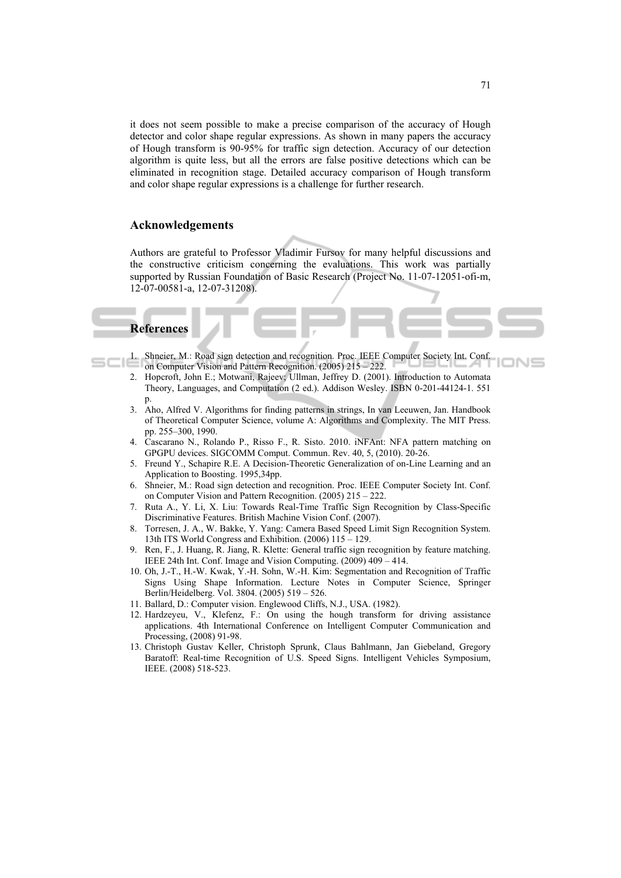it does not seem possible to make a precise comparison of the accuracy of Hough detector and color shape regular expressions. As shown in many papers the accuracy of Hough transform is 90-95% for traffic sign detection. Accuracy of our detection algorithm is quite less, but all the errors are false positive detections which can be eliminated in recognition stage. Detailed accuracy comparison of Hough transform and color shape regular expressions is a challenge for further research.

#### **Acknowledgements**

Authors are grateful to Professor Vladimir Fursov for many helpful discussions and the constructive criticism concerning the evaluations. This work was partially supported by Russian Foundation of Basic Research (Project No. 11-07-12051-ofi-m, 12-07-00581-a, 12-07-31208).

#### **References**

- 1. Shneier, M.: Road sign detection and recognition. Proc. IEEE Computer Society Int. Conf. on Computer Vision and Pattern Recognition. (2005) 215 – 222.
- 2. Hopcroft, John E.; Motwani, Rajeev; Ullman, Jeffrey D. (2001). Introduction to Automata Theory, Languages, and Computation (2 ed.). Addison Wesley. ISBN 0-201-44124-1. 551 p.
- 3. Aho, Alfred V. Algorithms for finding patterns in strings, In van Leeuwen, Jan. Handbook of Theoretical Computer Science, volume A: Algorithms and Complexity. The MIT Press. pp. 255–300, 1990.
- 4. Cascarano N., Rolando P., Risso F., R. Sisto. 2010. iNFAnt: NFA pattern matching on GPGPU devices. SIGCOMM Comput. Commun. Rev. 40, 5, (2010). 20-26.
- 5. Freund Y., Schapire R.E. A Decision-Theoretic Generalization of on-Line Learning and an Application to Boosting. 1995,34pp.
- 6. Shneier, M.: Road sign detection and recognition. Proc. IEEE Computer Society Int. Conf. on Computer Vision and Pattern Recognition. (2005) 215 – 222.
- 7. Ruta A., Y. Li, X. Liu: Towards Real-Time Traffic Sign Recognition by Class-Specific Discriminative Features. British Machine Vision Conf. (2007).
- 8. Torresen, J. A., W. Bakke, Y. Yang: Camera Based Speed Limit Sign Recognition System. 13th ITS World Congress and Exhibition. (2006) 115 – 129.
- 9. Ren, F., J. Huang, R. Jiang, R. Klette: General traffic sign recognition by feature matching. IEEE 24th Int. Conf. Image and Vision Computing. (2009) 409 – 414.
- 10. Oh, J.-T., H.-W. Kwak, Y.-H. Sohn, W.-H. Kim: Segmentation and Recognition of Traffic Signs Using Shape Information. Lecture Notes in Computer Science, Springer Berlin/Heidelberg. Vol. 3804. (2005) 519 – 526.
- 11. Ballard, D.: Computer vision. Englewood Cliffs, N.J., USA. (1982).
- 12. Hardzeyeu, V., Klefenz, F.: On using the hough transform for driving assistance applications. 4th International Conference on Intelligent Computer Communication and Processing, (2008) 91-98.
- 13. Christoph Gustav Keller, Christoph Sprunk, Claus Bahlmann, Jan Giebeland, Gregory Baratoff: Real-time Recognition of U.S. Speed Signs. Intelligent Vehicles Symposium, IEEE. (2008) 518-523.